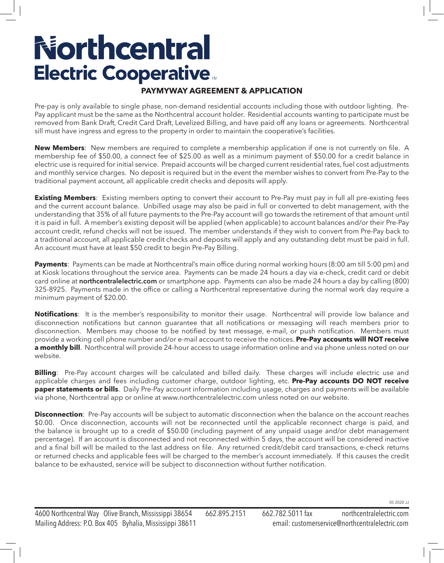# **Northcentral Electric Cooperative**

### **PAYMYWAY AGREEMENT & APPLICATION**

Pre-pay is only available to single phase, non-demand residential accounts including those with outdoor lighting. Pre-Pay applicant must be the same as the Northcentral account holder. Residential accounts wanting to participate must be removed from Bank Draft, Credit Card Draft, Levelized Billing, and have paid off any loans or agreements. Northcentral sill must have ingress and egress to the property in order to maintain the cooperative's facilities.

**New Members**: New members are required to complete a membership application if one is not currently on file. A membership fee of \$50.00, a connect fee of \$25.00 as well as a minimum payment of \$50.00 for a credit balance in electric use is required for initial service. Prepaid accounts will be charged current residential rates, fuel cost adjustments and monthly service charges. No deposit is required but in the event the member wishes to convert from Pre-Pay to the traditional payment account, all applicable credit checks and deposits will apply.

**Existing Members**: Existing members opting to convert their account to Pre-Pay must pay in full all pre-existing fees and the current account balance. Unbilled usage may also be paid in full or converted to debt management, with the understanding that 35% of all future payments to the Pre-Pay account will go towards the retirement of that amount until it is paid in full. A member's existing deposit will be applied (when applicable) to account balances and/or their Pre-Pay account credit, refund checks will not be issued. The member understands if they wish to convert from Pre-Pay back to a traditional account, all applicable credit checks and deposits will apply and any outstanding debt must be paid in full. An account must have at least \$50 credit to begin Pre-Pay Billing.

**Payments**: Payments can be made at Northcentral's main office during normal working hours (8:00 am till 5:00 pm) and at Kiosk locations throughout the service area. Payments can be made 24 hours a day via e-check, credit card or debit card online at **northcentralelectric.com** or smartphone app. Payments can also be made 24 hours a day by calling (800) 325-8925. Payments made in the office or calling a Northcentral representative during the normal work day require a minimum payment of \$20.00.

**Notifications**: It is the member's responsibility to monitor their usage. Northcentral will provide low balance and disconnection notifications but cannon guarantee that all notifications or messaging will reach members prior to disconnection. Members may choose to be notified by text message, e-mail, or push notification. Members must provide a working cell phone number and/or e-mail account to receive the notices. **Pre-Pay accounts will NOT receive a monthly bill**. Northcentral will provide 24-hour access to usage information online and via phone unless noted on our website.

**Billing**: Pre-Pay account charges will be calculated and billed daily. These charges will include electric use and applicable charges and fees including customer charge, outdoor lighting, etc. **Pre-Pay accounts DO NOT receive paper statements or bills**. Daily Pre-Pay account information including usage, charges and payments will be available via phone, Northcentral app or online at www.northcentralelectric.com unless noted on our website.

**Disconnection**: Pre-Pay accounts will be subject to automatic disconnection when the balance on the account reaches \$0.00. Once disconnection, accounts will not be reconnected until the applicable reconnect charge is paid, and the balance is brought up to a credit of \$50.00 (including payment of any unpaid usage and/or debt management percentage). If an account is disconnected and not reconnected within 5 days, the account will be considered inactive and a final bill will be mailed to the last address on file. Any returned credit/debit card transactions, e-check returns or returned checks and applicable fees will be charged to the member's account immediately. If this causes the credit balance to be exhausted, service will be subject to disconnection without further notification.